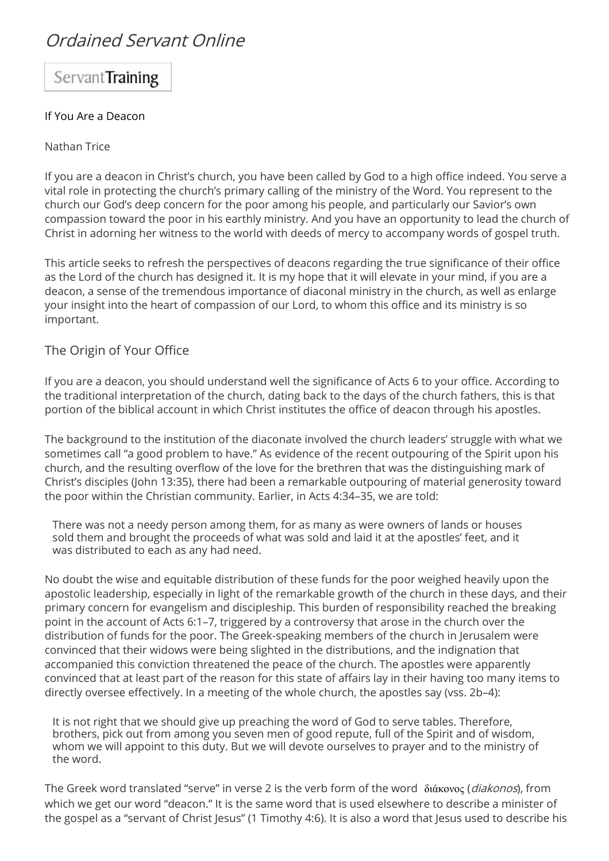# Ordained Servant Online

Servant Training

#### If You Are a Deacon

#### Nathan Trice

If you are a deacon in Christ's church, you have been called by God to a high office indeed. You serve a vital role in protecting the church's primary calling of the ministry of the Word. You represent to the church our God's deep concern for the poor among his people, and particularly our Savior's own compassion toward the poor in his earthly ministry. And you have an opportunity to lead the church of Christ in adorning her witness to the world with deeds of mercy to accompany words of gospel truth.

This article seeks to refresh the perspectives of deacons regarding the true significance of their office as the Lord of the church has designed it. It is my hope that it will elevate in your mind, if you are a deacon, a sense of the tremendous importance of diaconal ministry in the church, as well as enlarge your insight into the heart of compassion of our Lord, to whom this office and its ministry is so important.

## The Origin of Your Office

If you are a deacon, you should understand well the significance of Acts 6 to your office. According to the traditional interpretation of the church, dating back to the days of the church fathers, this is that portion of the biblical account in which Christ institutes the office of deacon through his apostles.

The background to the institution of the diaconate involved the church leaders' struggle with what we sometimes call "a good problem to have." As evidence of the recent outpouring of the Spirit upon his church, and the resulting overflow of the love for the brethren that was the distinguishing mark of Christ's disciples (John 13:35), there had been a remarkable outpouring of material generosity toward the poor within the Christian community. Earlier, in Acts 4:34–35, we are told:

There was not a needy person among them, for as many as were owners of lands or houses sold them and brought the proceeds of what was sold and laid it at the apostles' feet, and it was distributed to each as any had need.

No doubt the wise and equitable distribution of these funds for the poor weighed heavily upon the apostolic leadership, especially in light of the remarkable growth of the church in these days, and their primary concern for evangelism and discipleship. This burden of responsibility reached the breaking point in the account of Acts 6:1–7, triggered by a controversy that arose in the church over the distribution of funds for the poor. The Greek-speaking members of the church in Jerusalem were convinced that their widows were being slighted in the distributions, and the indignation that accompanied this conviction threatened the peace of the church. The apostles were apparently convinced that at least part of the reason for this state of affairs lay in their having too many items to directly oversee effectively. In a meeting of the whole church, the apostles say (vss. 2b–4):

It is not right that we should give up preaching the word of God to serve tables. Therefore, brothers, pick out from among you seven men of good repute, full of the Spirit and of wisdom, whom we will appoint to this duty. But we will devote ourselves to prayer and to the ministry of the word.

The Greek word translated "serve" in verse 2 is the verb form of the word διάκονος (diakonos), from which we get our word "deacon." It is the same word that is used elsewhere to describe a minister of the gospel as a "servant of Christ Jesus" (1 Timothy 4:6). It is also a word that Jesus used to describe his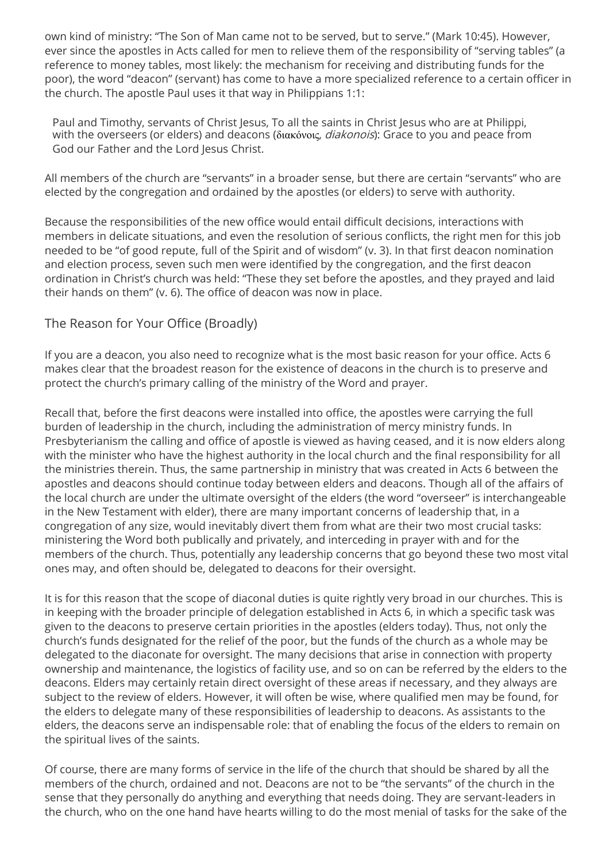own kind of ministry: "The Son of Man came not to be served, but to serve." (Mark 10:45). However, ever since the apostles in Acts called for men to relieve them of the responsibility of "serving tables" (a reference to money tables, most likely: the mechanism for receiving and distributing funds for the poor), the word "deacon" (servant) has come to have a more specialized reference to a certain officer in the church. The apostle Paul uses it that way in Philippians 1:1:

Paul and Timothy, servants of Christ Jesus, To all the saints in Christ Jesus who are at Philippi, with the overseers (or elders) and deacons (διακόνοις, *diakonois*): Grace to you and peace from God our Father and the Lord Jesus Christ.

All members of the church are "servants" in a broader sense, but there are certain "servants" who are elected by the congregation and ordained by the apostles (or elders) to serve with authority.

Because the responsibilities of the new office would entail difficult decisions, interactions with members in delicate situations, and even the resolution of serious conflicts, the right men for this job needed to be "of good repute, full of the Spirit and of wisdom" (v. 3). In that first deacon nomination and election process, seven such men were identified by the congregation, and the first deacon ordination in Christ's church was held: "These they set before the apostles, and they prayed and laid their hands on them" (v. 6). The office of deacon was now in place.

## The Reason for Your Office (Broadly)

If you are a deacon, you also need to recognize what is the most basic reason for your office. Acts 6 makes clear that the broadest reason for the existence of deacons in the church is to preserve and protect the church's primary calling of the ministry of the Word and prayer.

Recall that, before the first deacons were installed into office, the apostles were carrying the full burden of leadership in the church, including the administration of mercy ministry funds. In Presbyterianism the calling and office of apostle is viewed as having ceased, and it is now elders along with the minister who have the highest authority in the local church and the final responsibility for all the ministries therein. Thus, the same partnership in ministry that was created in Acts 6 between the apostles and deacons should continue today between elders and deacons. Though all of the affairs of the local church are under the ultimate oversight of the elders (the word "overseer" is interchangeable in the New Testament with elder), there are many important concerns of leadership that, in a congregation of any size, would inevitably divert them from what are their two most crucial tasks: ministering the Word both publically and privately, and interceding in prayer with and for the members of the church. Thus, potentially any leadership concerns that go beyond these two most vital ones may, and often should be, delegated to deacons for their oversight.

It is for this reason that the scope of diaconal duties is quite rightly very broad in our churches. This is in keeping with the broader principle of delegation established in Acts 6, in which a specific task was given to the deacons to preserve certain priorities in the apostles (elders today). Thus, not only the church's funds designated for the relief of the poor, but the funds of the church as a whole may be delegated to the diaconate for oversight. The many decisions that arise in connection with property ownership and maintenance, the logistics of facility use, and so on can be referred by the elders to the deacons. Elders may certainly retain direct oversight of these areas if necessary, and they always are subject to the review of elders. However, it will often be wise, where qualified men may be found, for the elders to delegate many of these responsibilities of leadership to deacons. As assistants to the elders, the deacons serve an indispensable role: that of enabling the focus of the elders to remain on the spiritual lives of the saints.

Of course, there are many forms of service in the life of the church that should be shared by all the members of the church, ordained and not. Deacons are not to be "the servants" of the church in the sense that they personally do anything and everything that needs doing. They are servant-leaders in the church, who on the one hand have hearts willing to do the most menial of tasks for the sake of the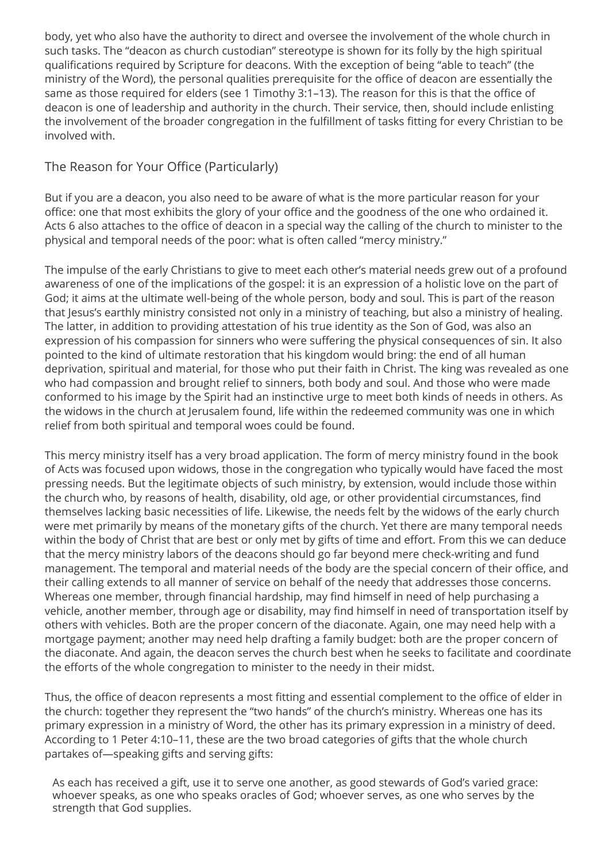body, yet who also have the authority to direct and oversee the involvement of the whole church in such tasks. The "deacon as church custodian" stereotype is shown for its folly by the high spiritual qualifications required by Scripture for deacons. With the exception of being "able to teach" (the ministry of the Word), the personal qualities prerequisite for the office of deacon are essentially the same as those required for elders (see 1 Timothy 3:1–13). The reason for this is that the office of deacon is one of leadership and authority in the church. Their service, then, should include enlisting the involvement of the broader congregation in the fulfillment of tasks fitting for every Christian to be involved with.

## The Reason for Your Office (Particularly)

But if you are a deacon, you also need to be aware of what is the more particular reason for your office: one that most exhibits the glory of your office and the goodness of the one who ordained it. Acts 6 also attaches to the office of deacon in a special way the calling of the church to minister to the physical and temporal needs of the poor: what is often called "mercy ministry."

The impulse of the early Christians to give to meet each other's material needs grew out of a profound awareness of one of the implications of the gospel: it is an expression of a holistic love on the part of God; it aims at the ultimate well-being of the whole person, body and soul. This is part of the reason that Jesus's earthly ministry consisted not only in a ministry of teaching, but also a ministry of healing. The latter, in addition to providing attestation of his true identity as the Son of God, was also an expression of his compassion for sinners who were suffering the physical consequences of sin. It also pointed to the kind of ultimate restoration that his kingdom would bring: the end of all human deprivation, spiritual and material, for those who put their faith in Christ. The king was revealed as one who had compassion and brought relief to sinners, both body and soul. And those who were made conformed to his image by the Spirit had an instinctive urge to meet both kinds of needs in others. As the widows in the church at Jerusalem found, life within the redeemed community was one in which relief from both spiritual and temporal woes could be found.

This mercy ministry itself has a very broad application. The form of mercy ministry found in the book of Acts was focused upon widows, those in the congregation who typically would have faced the most pressing needs. But the legitimate objects of such ministry, by extension, would include those within the church who, by reasons of health, disability, old age, or other providential circumstances, find themselves lacking basic necessities of life. Likewise, the needs felt by the widows of the early church were met primarily by means of the monetary gifts of the church. Yet there are many temporal needs within the body of Christ that are best or only met by gifts of time and effort. From this we can deduce that the mercy ministry labors of the deacons should go far beyond mere check-writing and fund management. The temporal and material needs of the body are the special concern of their office, and their calling extends to all manner of service on behalf of the needy that addresses those concerns. Whereas one member, through financial hardship, may find himself in need of help purchasing a vehicle, another member, through age or disability, may find himself in need of transportation itself by others with vehicles. Both are the proper concern of the diaconate. Again, one may need help with a mortgage payment; another may need help drafting a family budget: both are the proper concern of the diaconate. And again, the deacon serves the church best when he seeks to facilitate and coordinate the efforts of the whole congregation to minister to the needy in their midst.

Thus, the office of deacon represents a most fitting and essential complement to the office of elder in the church: together they represent the "two hands" of the church's ministry. Whereas one has its primary expression in a ministry of Word, the other has its primary expression in a ministry of deed. According to 1 Peter 4:10–11, these are the two broad categories of gifts that the whole church partakes of—speaking gifts and serving gifts:

As each has received a gift, use it to serve one another, as good stewards of God's varied grace: whoever speaks, as one who speaks oracles of God; whoever serves, as one who serves by the strength that God supplies.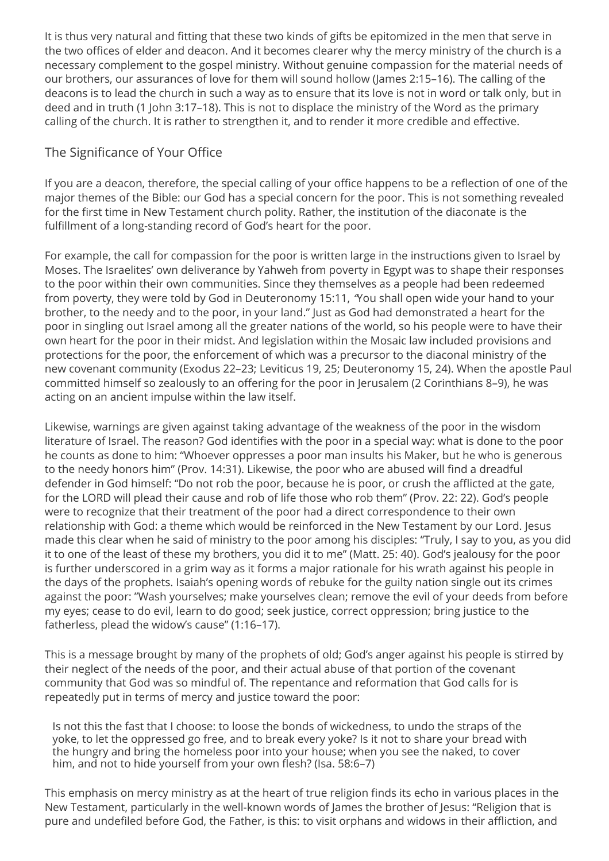It is thus very natural and fitting that these two kinds of gifts be epitomized in the men that serve in the two offices of elder and deacon. And it becomes clearer why the mercy ministry of the church is a necessary complement to the gospel ministry. Without genuine compassion for the material needs of our brothers, our assurances of love for them will sound hollow (James 2:15–16). The calling of the deacons is to lead the church in such a way as to ensure that its love is not in word or talk only, but in deed and in truth (1 John 3:17–18). This is not to displace the ministry of the Word as the primary calling of the church. It is rather to strengthen it, and to render it more credible and effective.

## The Significance of Your Office

If you are a deacon, therefore, the special calling of your office happens to be a reflection of one of the major themes of the Bible: our God has a special concern for the poor. This is not something revealed for the first time in New Testament church polity. Rather, the institution of the diaconate is the fulfillment of a long-standing record of God's heart for the poor.

For example, the call for compassion for the poor is written large in the instructions given to Israel by Moses. The Israelites' own deliverance by Yahweh from poverty in Egypt was to shape their responses to the poor within their own communities. Since they themselves as a people had been redeemed from poverty, they were told by God in Deuteronomy 15:11, "You shall open wide your hand to your brother, to the needy and to the poor, in your land." Just as God had demonstrated a heart for the poor in singling out Israel among all the greater nations of the world, so his people were to have their own heart for the poor in their midst. And legislation within the Mosaic law included provisions and protections for the poor, the enforcement of which was a precursor to the diaconal ministry of the new covenant community (Exodus 22–23; Leviticus 19, 25; Deuteronomy 15, 24). When the apostle Paul committed himself so zealously to an offering for the poor in Jerusalem (2 Corinthians 8–9), he was acting on an ancient impulse within the law itself.

Likewise, warnings are given against taking advantage of the weakness of the poor in the wisdom literature of Israel. The reason? God identifies with the poor in a special way: what is done to the poor he counts as done to him: "Whoever oppresses a poor man insults his Maker, but he who is generous to the needy honors him" (Prov. 14:31). Likewise, the poor who are abused will find a dreadful defender in God himself: "Do not rob the poor, because he is poor, or crush the afflicted at the gate, for the LORD will plead their cause and rob of life those who rob them" (Prov. 22: 22). God's people were to recognize that their treatment of the poor had a direct correspondence to their own relationship with God: a theme which would be reinforced in the New Testament by our Lord. Jesus made this clear when he said of ministry to the poor among his disciples: "Truly, I say to you, as you did it to one of the least of these my brothers, you did it to me" (Matt. 25: 40). God's jealousy for the poor is further underscored in a grim way as it forms a major rationale for his wrath against his people in the days of the prophets. Isaiah's opening words of rebuke for the guilty nation single out its crimes against the poor: "Wash yourselves; make yourselves clean; remove the evil of your deeds from before my eyes; cease to do evil, learn to do good; seek justice, correct oppression; bring justice to the fatherless, plead the widow's cause" (1:16–17).

This is a message brought by many of the prophets of old; God's anger against his people is stirred by their neglect of the needs of the poor, and their actual abuse of that portion of the covenant community that God was so mindful of. The repentance and reformation that God calls for is repeatedly put in terms of mercy and justice toward the poor:

Is not this the fast that I choose: to loose the bonds of wickedness, to undo the straps of the yoke, to let the oppressed go free, and to break every yoke? Is it not to share your bread with the hungry and bring the homeless poor into your house; when you see the naked, to cover him, and not to hide yourself from your own flesh? (Isa. 58:6–7)

This emphasis on mercy ministry as at the heart of true religion finds its echo in various places in the New Testament, particularly in the well-known words of James the brother of Jesus: "Religion that is pure and undefiled before God, the Father, is this: to visit orphans and widows in their affliction, and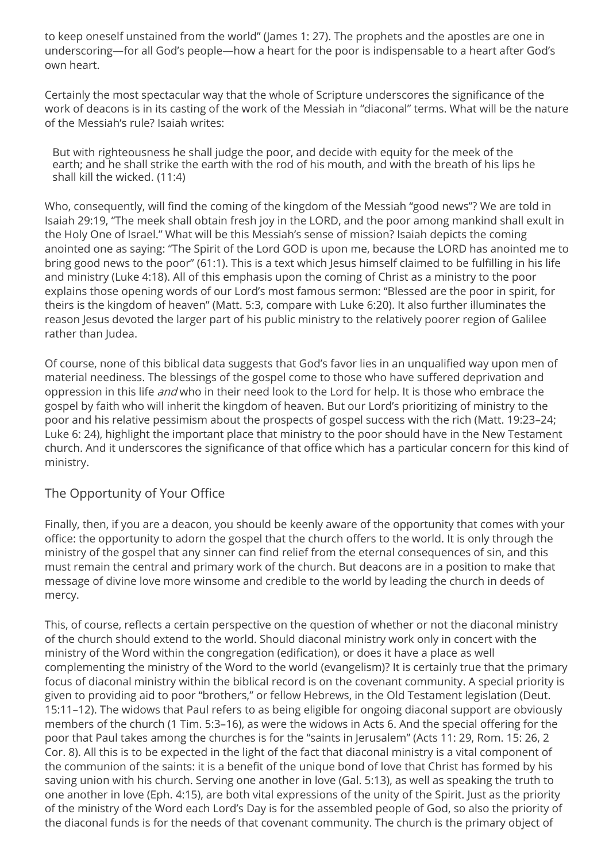to keep oneself unstained from the world" (James 1: 27). The prophets and the apostles are one in underscoring—for all God's people—how a heart for the poor is indispensable to a heart after God's own heart.

Certainly the most spectacular way that the whole of Scripture underscores the significance of the work of deacons is in its casting of the work of the Messiah in "diaconal" terms. What will be the nature of the Messiah's rule? Isaiah writes:

But with righteousness he shall judge the poor, and decide with equity for the meek of the earth; and he shall strike the earth with the rod of his mouth, and with the breath of his lips he shall kill the wicked. (11:4)

Who, consequently, will find the coming of the kingdom of the Messiah "good news"? We are told in Isaiah 29:19, "The meek shall obtain fresh joy in the LORD, and the poor among mankind shall exult in the Holy One of Israel." What will be this Messiah's sense of mission? Isaiah depicts the coming anointed one as saying: "The Spirit of the Lord GOD is upon me, because the LORD has anointed me to bring good news to the poor" (61:1). This is a text which Jesus himself claimed to be fulfilling in his life and ministry (Luke 4:18). All of this emphasis upon the coming of Christ as a ministry to the poor explains those opening words of our Lord's most famous sermon: "Blessed are the poor in spirit, for theirs is the kingdom of heaven" (Matt. 5:3, compare with Luke 6:20). It also further illuminates the reason Jesus devoted the larger part of his public ministry to the relatively poorer region of Galilee rather than Judea.

Of course, none of this biblical data suggests that God's favor lies in an unqualified way upon men of material neediness. The blessings of the gospel come to those who have suffered deprivation and oppression in this life *and* who in their need look to the Lord for help. It is those who embrace the gospel by faith who will inherit the kingdom of heaven. But our Lord's prioritizing of ministry to the poor and his relative pessimism about the prospects of gospel success with the rich (Matt. 19:23–24; Luke 6: 24), highlight the important place that ministry to the poor should have in the New Testament church. And it underscores the significance of that office which has a particular concern for this kind of ministry.

## The Opportunity of Your Office

Finally, then, if you are a deacon, you should be keenly aware of the opportunity that comes with your office: the opportunity to adorn the gospel that the church offers to the world. It is only through the ministry of the gospel that any sinner can find relief from the eternal consequences of sin, and this must remain the central and primary work of the church. But deacons are in a position to make that message of divine love more winsome and credible to the world by leading the church in deeds of mercy.

This, of course, reflects a certain perspective on the question of whether or not the diaconal ministry of the church should extend to the world. Should diaconal ministry work only in concert with the ministry of the Word within the congregation (edification), or does it have a place as well complementing the ministry of the Word to the world (evangelism)? It is certainly true that the primary focus of diaconal ministry within the biblical record is on the covenant community. A special priority is given to providing aid to poor "brothers," or fellow Hebrews, in the Old Testament legislation (Deut. 15:11–12). The widows that Paul refers to as being eligible for ongoing diaconal support are obviously members of the church (1 Tim. 5:3–16), as were the widows in Acts 6. And the special offering for the poor that Paul takes among the churches is for the "saints in Jerusalem" (Acts 11: 29, Rom. 15: 26, 2 Cor. 8). All this is to be expected in the light of the fact that diaconal ministry is a vital component of the communion of the saints: it is a benefit of the unique bond of love that Christ has formed by his saving union with his church. Serving one another in love (Gal. 5:13), as well as speaking the truth to one another in love (Eph. 4:15), are both vital expressions of the unity of the Spirit. Just as the priority of the ministry of the Word each Lord's Day is for the assembled people of God, so also the priority of the diaconal funds is for the needs of that covenant community. The church is the primary object of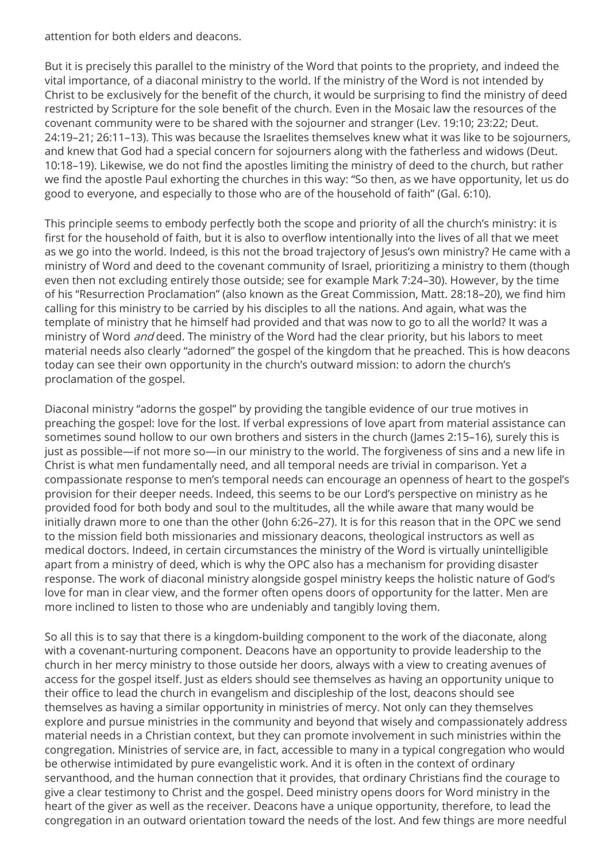attention for both elders and deacons.

But it is precisely this parallel to the ministry of the Word that points to the propriety, and indeed the vital importance, of a diaconal ministry to the world. If the ministry of the Word is not intended by Christ to be exclusively for the benefit of the church, it would be surprising to find the ministry of deed restricted by Scripture for the sole benefit of the church. Even in the Mosaic law the resources of the covenant community were to be shared with the sojourner and stranger (Lev. 19:10; 23:22; Deut. 24:19–21; 26:11–13). This was because the Israelites themselves knew what it was like to be sojourners, and knew that God had a special concern for sojourners along with the fatherless and widows (Deut. 10:18–19). Likewise, we do not find the apostles limiting the ministry of deed to the church, but rather we find the apostle Paul exhorting the churches in this way: "So then, as we have opportunity, let us do good to everyone, and especially to those who are of the household of faith" (Gal. 6:10).

This principle seems to embody perfectly both the scope and priority of all the church's ministry: it is first for the household of faith, but it is also to overflow intentionally into the lives of all that we meet as we go into the world. Indeed, is this not the broad trajectory of Jesus's own ministry? He came with a ministry of Word and deed to the covenant community of Israel, prioritizing a ministry to them (though even then not excluding entirely those outside; see for example Mark 7:24–30). However, by the time of his "Resurrection Proclamation" (also known as the Great Commission, Matt. 28:18–20), we find him calling for this ministry to be carried by his disciples to all the nations. And again, what was the template of ministry that he himself had provided and that was now to go to all the world? It was a ministry of Word and deed. The ministry of the Word had the clear priority, but his labors to meet material needs also clearly "adorned" the gospel of the kingdom that he preached. This is how deacons today can see their own opportunity in the church's outward mission: to adorn the church's proclamation of the gospel.

Diaconal ministry "adorns the gospel" by providing the tangible evidence of our true motives in preaching the gospel: love for the lost. If verbal expressions of love apart from material assistance can sometimes sound hollow to our own brothers and sisters in the church (James 2:15–16), surely this is just as possible—if not more so—in our ministry to the world. The forgiveness of sins and a new life in Christ is what men fundamentally need, and all temporal needs are trivial in comparison. Yet a compassionate response to men's temporal needs can encourage an openness of heart to the gospel's provision for their deeper needs. Indeed, this seems to be our Lord's perspective on ministry as he provided food for both body and soul to the multitudes, all the while aware that many would be initially drawn more to one than the other (John 6:26–27). It is for this reason that in the OPC we send to the mission field both missionaries and missionary deacons, theological instructors as well as medical doctors. Indeed, in certain circumstances the ministry of the Word is virtually unintelligible apart from a ministry of deed, which is why the OPC also has a mechanism for providing disaster response. The work of diaconal ministry alongside gospel ministry keeps the holistic nature of God's love for man in clear view, and the former often opens doors of opportunity for the latter. Men are more inclined to listen to those who are undeniably and tangibly loving them.

So all this is to say that there is a kingdom-building component to the work of the diaconate, along with a covenant-nurturing component. Deacons have an opportunity to provide leadership to the church in her mercy ministry to those outside her doors, always with a view to creating avenues of access for the gospel itself. Just as elders should see themselves as having an opportunity unique to their office to lead the church in evangelism and discipleship of the lost, deacons should see themselves as having a similar opportunity in ministries of mercy. Not only can they themselves explore and pursue ministries in the community and beyond that wisely and compassionately address material needs in a Christian context, but they can promote involvement in such ministries within the congregation. Ministries of service are, in fact, accessible to many in a typical congregation who would be otherwise intimidated by pure evangelistic work. And it is often in the context of ordinary servanthood, and the human connection that it provides, that ordinary Christians find the courage to give a clear testimony to Christ and the gospel. Deed ministry opens doors for Word ministry in the heart of the giver as well as the receiver. Deacons have a unique opportunity, therefore, to lead the congregation in an outward orientation toward the needs of the lost. And few things are more needful